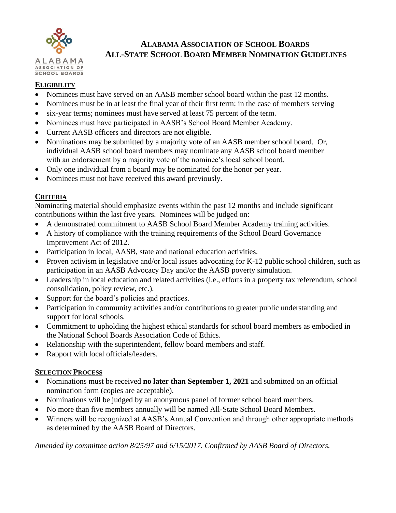

### **ALABAMA ASSOCIATION OF SCHOOL BOARDS ALL-STATE SCHOOL BOARD MEMBER NOMINATION GUIDELINES**

#### **ELIGIBILITY**

- Nominees must have served on an AASB member school board within the past 12 months.
- Nominees must be in at least the final year of their first term; in the case of members serving
- six-year terms; nominees must have served at least 75 percent of the term.
- Nominees must have participated in AASB's School Board Member Academy.
- Current AASB officers and directors are not eligible.
- Nominations may be submitted by a majority vote of an AASB member school board. Or, individual AASB school board members may nominate any AASB school board member with an endorsement by a majority vote of the nominee's local school board.
- Only one individual from a board may be nominated for the honor per year.
- Nominees must not have received this award previously.

#### **CRITERIA**

Nominating material should emphasize events within the past 12 months and include significant contributions within the last five years. Nominees will be judged on:

- A demonstrated commitment to AASB School Board Member Academy training activities.
- A history of compliance with the training requirements of the School Board Governance Improvement Act of 2012.
- Participation in local, AASB, state and national education activities.
- Proven activism in legislative and/or local issues advocating for K-12 public school children, such as participation in an AASB Advocacy Day and/or the AASB poverty simulation.
- Leadership in local education and related activities (i.e., efforts in a property tax referendum, school consolidation, policy review, etc.).
- Support for the board's policies and practices.
- Participation in community activities and/or contributions to greater public understanding and support for local schools.
- Commitment to upholding the highest ethical standards for school board members as embodied in the National School Boards Association Code of Ethics.
- Relationship with the superintendent, fellow board members and staff.
- Rapport with local officials/leaders.

#### **SELECTION PROCESS**

- Nominations must be received **no later than September 1, 2021** and submitted on an official nomination form (copies are acceptable).
- Nominations will be judged by an anonymous panel of former school board members.
- No more than five members annually will be named All-State School Board Members.
- Winners will be recognized at AASB's Annual Convention and through other appropriate methods as determined by the AASB Board of Directors.

*Amended by committee action 8/25/97 and 6/15/2017. Confirmed by AASB Board of Directors.*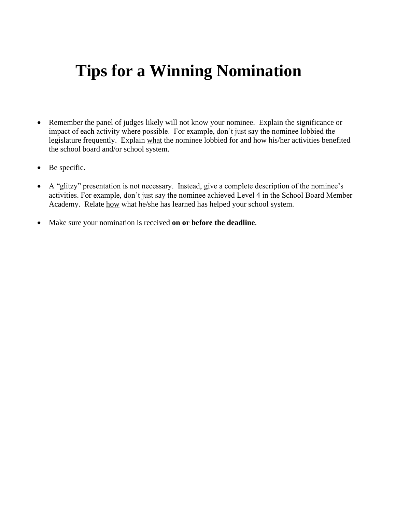# **Tips for a Winning Nomination**

- Remember the panel of judges likely will not know your nominee. Explain the significance or impact of each activity where possible. For example, don't just say the nominee lobbied the legislature frequently. Explain what the nominee lobbied for and how his/her activities benefited the school board and/or school system.
- Be specific.
- A "glitzy" presentation is not necessary. Instead, give a complete description of the nominee's activities. For example, don't just say the nominee achieved Level 4 in the School Board Member Academy. Relate how what he/she has learned has helped your school system.
- Make sure your nomination is received **on or before the deadline**.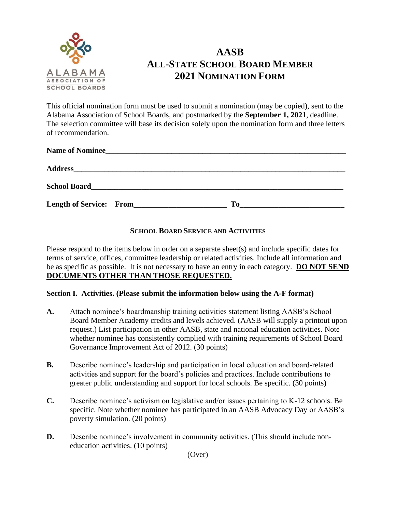

## **AASB ALL-STATE SCHOOL BOARD MEMBER 2021 NOMINATION FORM**

This official nomination form must be used to submit a nomination (may be copied), sent to the Alabama Association of School Boards, and postmarked by the **September 1, 2021**, deadline. The selection committee will base its decision solely upon the nomination form and three letters of recommendation.

| Name of Nominee         |     |
|-------------------------|-----|
|                         |     |
|                         |     |
| Length of Service: From | To. |

#### **SCHOOL BOARD SERVICE AND ACTIVITIES**

Please respond to the items below in order on a separate sheet(s) and include specific dates for terms of service, offices, committee leadership or related activities. Include all information and be as specific as possible. It is not necessary to have an entry in each category. **DO NOT SEND DOCUMENTS OTHER THAN THOSE REQUESTED.**

#### **Section I. Activities. (Please submit the information below using the A-F format)**

- **A.** Attach nominee's boardmanship training activities statement listing AASB's School Board Member Academy credits and levels achieved. (AASB will supply a printout upon request.) List participation in other AASB, state and national education activities. Note whether nominee has consistently complied with training requirements of School Board Governance Improvement Act of 2012. (30 points)
- **B.** Describe nominee's leadership and participation in local education and board-related activities and support for the board's policies and practices. Include contributions to greater public understanding and support for local schools. Be specific. (30 points)
- **C.** Describe nominee's activism on legislative and/or issues pertaining to K-12 schools. Be specific. Note whether nominee has participated in an AASB Advocacy Day or AASB's poverty simulation. (20 points)
- **D.** Describe nominee's involvement in community activities. (This should include noneducation activities. (10 points)